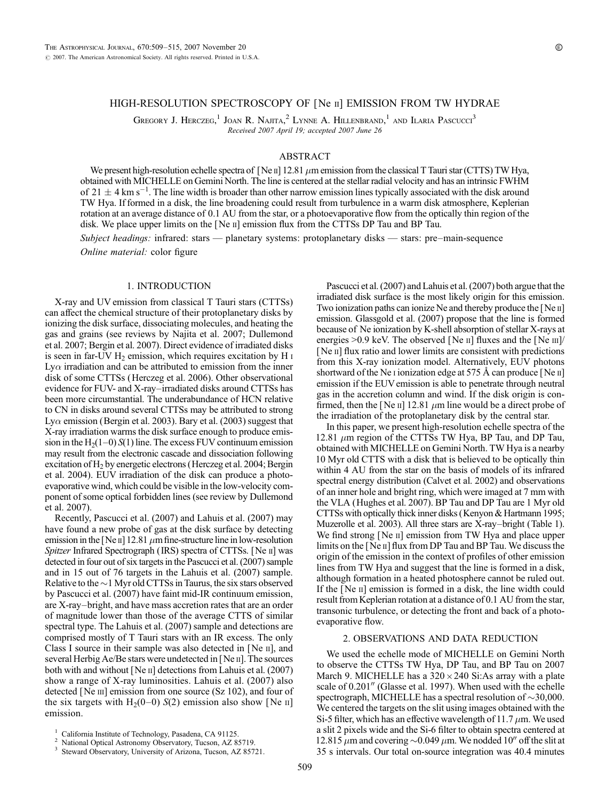# HIGH-RESOLUTION SPECTROSCOPY OF [Ne ii] EMISSION FROM TW HYDRAE

GREGORY J. HERCZEG,<sup>1</sup> JOAN R. NAJITA,<sup>2</sup> LYNNE A. HILLENBRAND,<sup>1</sup> AND ILARIA PASCUCCI<sup>3</sup> Received 2007 April 19; accepted 2007 June 26

## ABSTRACT

We present high-resolution echelle spectra of [Ne  $\pi$ ] 12.81  $\mu$ m emission from the classical T Tauri star (CTTS) TW Hya, obtained with MICHELLE on Gemini North. The line is centered at the stellar radial velocity and has an intrinsic FWHM of 21  $\pm$  4 km s<sup>-1</sup>. The line width is broader than other narrow emission lines typically associated with the disk around TW Hya. If formed in a disk, the line broadening could result from turbulence in a warm disk atmosphere, Keplerian rotation at an average distance of 0.1 AU from the star, or a photoevaporative flow from the optically thin region of the disk. We place upper limits on the  $[Ne\,\mathrm{II}]$  emission flux from the CTTSs DP Tau and BP Tau.

Subject headings: infrared: stars — planetary systems: protoplanetary disks — stars: pre–main-sequence Online material: color figure

## 1. INTRODUCTION

X-ray and UV emission from classical T Tauri stars (CTTSs) can affect the chemical structure of their protoplanetary disks by ionizing the disk surface, dissociating molecules, and heating the gas and grains (see reviews by Najita et al. 2007; Dullemond et al. 2007; Bergin et al. 2007). Direct evidence of irradiated disks is seen in far-UV  $H_2$  emission, which requires excitation by H  $\scriptstyle\rm II$ Ly $\alpha$  irradiation and can be attributed to emission from the inner disk of some CTTSs (Herczeg et al. 2006). Other observational evidence for FUV- and X-ray–irradiated disks around CTTSs has been more circumstantial. The underabundance of HCN relative to CN in disks around several CTTSs may be attributed to strong Ly $\alpha$  emission (Bergin et al. 2003). Bary et al. (2003) suggest that X-ray irradiation warms the disk surface enough to produce emission in the  $H<sub>2</sub>(1-0) S(1)$  line. The excess FUV continuum emission may result from the electronic cascade and dissociation following excitation of H<sub>2</sub> by energetic electrons (Herczeg et al. 2004; Bergin et al. 2004). EUV irradiation of the disk can produce a photoevaporative wind, which could be visible in the low-velocity component of some optical forbidden lines (see review by Dullemond et al. 2007).

Recently, Pascucci et al. (2007) and Lahuis et al. (2007) may have found a new probe of gas at the disk surface by detecting emission in the [Ne  $\pi$ ] 12.81  $\mu$ m fine-structure line in low-resolution Spitzer Infrared Spectrograph (IRS) spectra of CTTSs. [Ne II] was detected in four out of six targets in the Pascucci et al. (2007) sample and in 15 out of 76 targets in the Lahuis et al. (2007) sample. Relative to the  $\sim$  1 Myr old CTTSs in Taurus, the six stars observed by Pascucci et al. (2007) have faint mid-IR continuum emission, are X-ray–bright, and have mass accretion rates that are an order of magnitude lower than those of the average CTTS of similar spectral type. The Lahuis et al. (2007) sample and detections are comprised mostly of T Tauri stars with an IR excess. The only Class I source in their sample was also detected in [Ne ii], and several Herbig Ae/Be stars were undetected in [Ne II]. The sources both with and without [Ne ii] detections from Lahuis et al. (2007) show a range of X-ray luminosities. Lahuis et al. (2007) also detected [Ne  $\text{III}$ ] emission from one source (Sz 102), and four of the six targets with  $H_2(0-0)$  S(2) emission also show [Ne II] emission.

Pascucci et al. (2007) and Lahuis et al. (2007) both argue that the irradiated disk surface is the most likely origin for this emission. Two ionization paths can ionize Ne and thereby produce the [Ne ii] emission. Glassgold et al. (2007) propose that the line is formed because of Ne ionization by K-shell absorption of stellar X-rays at energies >0.9 keV. The observed [Ne ii] fluxes and the [Ne iii]/ [Ne ii] flux ratio and lower limits are consistent with predictions from this X-ray ionization model. Alternatively, EUV photons shortward of the Ne i ionization edge at 575 Å can produce [Ne  $\text{II}$ ] emission if the EUV emission is able to penetrate through neutral gas in the accretion column and wind. If the disk origin is confirmed, then the [Ne  $\pi$ ] 12.81  $\mu$ m line would be a direct probe of the irradiation of the protoplanetary disk by the central star.

In this paper, we present high-resolution echelle spectra of the 12.81  $\mu$ m region of the CTTSs TW Hya, BP Tau, and DP Tau, obtained with MICHELLE on Gemini North. TW Hya is a nearby 10 Myr old CTTS with a disk that is believed to be optically thin within 4 AU from the star on the basis of models of its infrared spectral energy distribution (Calvet et al. 2002) and observations of an inner hole and bright ring, which were imaged at 7 mm with the VLA (Hughes et al. 2007). BP Tau and DP Tau are 1 Myr old CTTSs with optically thick inner disks (Kenyon & Hartmann 1995; Muzerolle et al. 2003). All three stars are X-ray–bright (Table 1). We find strong [Ne ii] emission from TW Hya and place upper limits on the [Ne II] flux from DP Tau and BP Tau. We discuss the origin of the emission in the context of profiles of other emission lines from TW Hya and suggest that the line is formed in a disk, although formation in a heated photosphere cannot be ruled out. If the [Ne ii] emission is formed in a disk, the line width could result from Keplerian rotation at a distance of 0.1 AU from the star, transonic turbulence, or detecting the front and back of a photoevaporative flow.

# 2. OBSERVATIONS AND DATA REDUCTION

We used the echelle mode of MICHELLE on Gemini North to observe the CTTSs TW Hya, DP Tau, and BP Tau on 2007 March 9. MICHELLE has a  $320 \times 240$  Si:As array with a plate scale of 0.201" (Glasse et al. 1997). When used with the echelle spectrograph, MICHELLE has a spectral resolution of  $\sim$ 30,000. We centered the targets on the slit using images obtained with the Si-5 filter, which has an effective wavelength of 11.7  $\mu$ m. We used a slit 2 pixels wide and the Si-6 filter to obtain spectra centered at 12.815  $\mu$ m and covering  $\sim$ 0.049  $\mu$ m. We nodded 10<sup>"</sup> off the slit at 35 s intervals. Our total on-source integration was 40.4 minutes

<sup>&</sup>lt;sup>1</sup> California Institute of Technology, Pasadena, CA 91125.<br><sup>2</sup> National Optical Astronomy Observatory, Tucson, AZ 85719.<br><sup>3</sup> Steward Observatory, University of Arizona, Tucson, AZ 85721.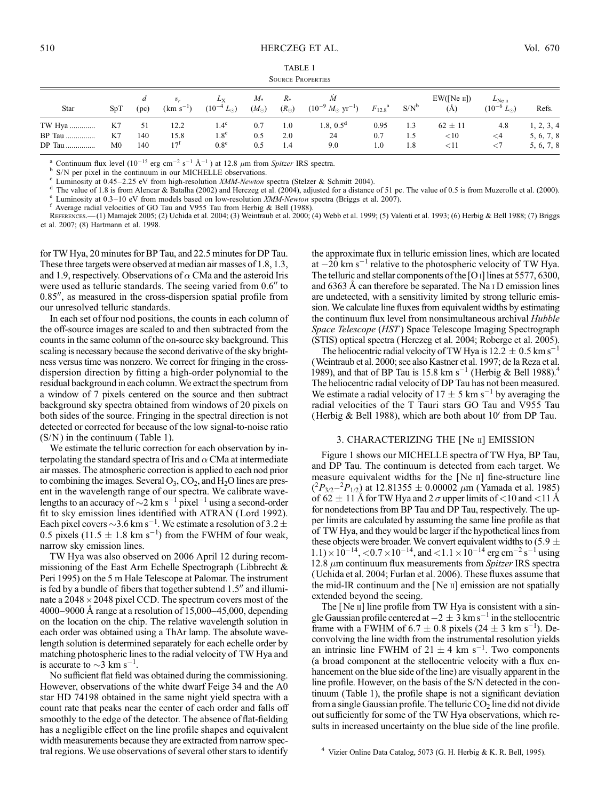| <b>TABLE 1</b>           |  |  |  |  |  |  |  |  |
|--------------------------|--|--|--|--|--|--|--|--|
| <b>SOURCE PROPERTIES</b> |  |  |  |  |  |  |  |  |

| Star          | SpT            | (pc) | $(km s^{-1})$ | $L_{\rm X}$<br>$(10^{-4} L_{\odot})$ | $M_{*}$<br>$(M_{\odot})$ | $R*$<br>$(R_{\odot})$ | M<br>$(10^{-9} M_{\odot} \text{ yr}^{-1})$ | $F_{12.8}^{\text{a}}$ | $S/N^b$ | EW([Ne II])<br>(Å) | $L_{\rm Ne\;II}$<br>$(10^{-6} L_{\odot})$ | Refs.      |
|---------------|----------------|------|---------------|--------------------------------------|--------------------------|-----------------------|--------------------------------------------|-----------------------|---------|--------------------|-------------------------------------------|------------|
| TW Hya        | K7             | 51   | 12.2          | $4.4^\circ$                          | 0.7                      | 1.0                   | 1.8, $0.5^{\circ}$                         | 0.95                  | 1.3     | $62 \pm 11$        | 4.8                                       | 1, 2, 3, 4 |
| <b>BP</b> Tau | K7             | 140  | 15.8          | $1.8^\mathrm{e}$                     | 0.5                      | 2.0                   | 24                                         | 0.7                   | 1.5     | ${<}10$            | $\leq$ 4                                  | 5, 6, 7, 8 |
| DP Tau        | M <sub>0</sub> | 140  | $17^{1}$      | $0.8^{\circ}$                        | 0.5                      | 1.4                   | 9.0                                        | 1.0                   | 1.8     | $<$ 11             | ${<}7$                                    | 5, 6, 7, 8 |

<sup>a</sup> Continuum flux level (10<sup>-15</sup> erg cm<sup>-2</sup> s<sup>-1</sup> Å<sup>-1</sup>) at 12.8  $\mu$ m from *Spitzer* IRS spectra.<br>
<sup>b</sup> S/N per pixel in the continuum in our MICHELLE observations.<br>
<sup>c</sup> Luminosity at 0.45–2.25 eV from high-resolution *X* 

<sup>f</sup> Average radial velocities of GO Tau and V955 Tau from Herbig & Bell (1988).<br>REFERENCES.—(1) Mamajek 2005; (2) Uchida et al. 2004; (3) Weintraub et al. 2000; (4) Webb et al. 1999; (5) Valenti et al. 1993; (6) Herbig & et al. 2007; (8) Hartmann et al. 1998.

for TW Hya, 20 minutes for BP Tau, and 22.5 minutes for DP Tau. These three targets were observed at median air masses of 1.8, 1.3, and 1.9, respectively. Observations of  $\alpha$  CMa and the asteroid Iris were used as telluric standards. The seeing varied from  $0.6$ <sup>"</sup> to  $0.85$ ", as measured in the cross-dispersion spatial profile from our unresolved telluric standards.

In each set of four nod positions, the counts in each column of the off-source images are scaled to and then subtracted from the counts in the same column of the on-source sky background. This scaling is necessary because the second derivative of the sky brightness versus time was nonzero. We correct for fringing in the crossdispersion direction by fitting a high-order polynomial to the residual background in each column.We extract the spectrum from a window of 7 pixels centered on the source and then subtract background sky spectra obtained from windows of 20 pixels on both sides of the source. Fringing in the spectral direction is not detected or corrected for because of the low signal-to-noise ratio  $(S/N)$  in the continuum (Table 1).

We estimate the telluric correction for each observation by interpolating the standard spectra of Iris and  $\alpha$  CMa at intermediate air masses. The atmospheric correction is applied to each nod prior to combining the images. Several  $O_3$ ,  $CO_2$ , and  $H_2O$  lines are present in the wavelength range of our spectra. We calibrate wavelengths to an accuracy of  $\sim$ 2 km s<sup>-1</sup> pixel<sup>-1</sup> using a second-order fit to sky emission lines identified with ATRAN (Lord 1992). Each pixel covers  $\sim$  3.6 km s<sup>-1</sup>. We estimate a resolution of 3.2  $\pm$ 0.5 pixels (11.5  $\pm$  1.8 km s<sup>-1</sup>) from the FWHM of four weak, narrow sky emission lines.

TW Hya was also observed on 2006 April 12 during recommissioning of the East Arm Echelle Spectrograph (Libbrecht & Peri 1995) on the 5 m Hale Telescope at Palomar. The instrument is fed by a bundle of fibers that together subtend  $1.5<sup>′</sup>$  and illuminate a  $2048 \times 2048$  pixel CCD. The spectrum covers most of the 4000–9000 Å range at a resolution of  $15,000-45,000$ , depending on the location on the chip. The relative wavelength solution in each order was obtained using a ThAr lamp. The absolute wavelength solution is determined separately for each echelle order by matching photospheric lines to the radial velocity of TW Hya and is accurate to  $\sim$ 3 km s<sup>-1</sup>.

No sufficient flat field was obtained during the commissioning. However, observations of the white dwarf Feige 34 and the A0 star HD 74198 obtained in the same night yield spectra with a count rate that peaks near the center of each order and falls off smoothly to the edge of the detector. The absence of flat-fielding has a negligible effect on the line profile shapes and equivalent width measurements because they are extracted from narrow spectral regions. We use observations of several other stars to identify

the approximate flux in telluric emission lines, which are located at  $-20$  km s<sup>-1</sup> relative to the photospheric velocity of TW Hya. The telluric and stellar components of the [O  $I$ ] lines at 5577, 6300, and  $6363$  Å can therefore be separated. The Na  $I$  D emission lines are undetected, with a sensitivity limited by strong telluric emission. We calculate line fluxes from equivalent widths by estimating the continuum flux level from nonsimultaneous archival Hubble Space Telescope (HST ) Space Telescope Imaging Spectrograph (STIS) optical spectra (Herczeg et al. 2004; Roberge et al. 2005).

The heliocentric radial velocity of TW Hya is  $12.2 \pm 0.5$  km s<sup>-</sup> 1 (Weintraub et al. 2000; see also Kastner et al. 1997; de la Reza et al. 1989), and that of BP Tau is 15.8 km s<sup>-1</sup> (Herbig & Bell 1988).<sup>4</sup> The heliocentric radial velocity of DP Tau has not been measured. We estimate a radial velocity of  $17 \pm 5$  km s<sup>-1</sup> by averaging the radial velocities of the T Tauri stars GO Tau and V955 Tau (Herbig & Bell 1988), which are both about  $10<sup>7</sup>$  from DP Tau.

## 3. CHARACTERIZING THE [Ne ii] EMISSION

Figure 1 shows our MICHELLE spectra of TW Hya, BP Tau, and DP Tau. The continuum is detected from each target. We measure equivalent widths for the [Ne ii] fine-structure line  $(^{2}P_{3/2} - ^{2}P_{1/2})$  at 12.81355  $\pm$  0.00002  $\mu$ m (Yamada et al. 1985) of 62  $\pm$  11 Å for TW Hya and 2  $\sigma$  upper limits of <10 and <11 Å for nondetections from BP Tau and DP Tau, respectively. The upper limits are calculated by assuming the same line profile as that of TW Hya, and they would be larger if the hypothetical lines from these objects were broader. We convert equivalent widths to (5.9  $\pm$  $1.1$ ) ×  $10^{-14}$ , <0.7 × 10<sup>-14</sup>, and <1.1 ×  $10^{-14}$  erg cm<sup>-2</sup> s<sup>-1</sup> using 12.8  $\mu$ m continuum flux measurements from Spitzer IRS spectra (Uchida et al. 2004; Furlan et al. 2006). These fluxes assume that the mid-IR continuum and the [Ne ii] emission are not spatially extended beyond the seeing.

The [Ne II] line profile from TW Hya is consistent with a single Gaussian profile centered at  $-2 \pm 3$  km s<sup>-1</sup> in the stellocentric frame with a FWHM of 6.7  $\pm$  0.8 pixels (24  $\pm$  3 km s<sup>-1</sup>). Deconvolving the line width from the instrumental resolution yields an intrinsic line FWHM of  $21 \pm 4$  km s<sup>-1</sup>. Two components (a broad component at the stellocentric velocity with a flux enhancement on the blue side of the line) are visually apparent in the line profile. However, on the basis of the S/N detected in the continuum (Table 1), the profile shape is not a significant deviation from a single Gaussian profile. The telluric  $CO<sub>2</sub>$  line did not divide out sufficiently for some of the TW Hya observations, which results in increased uncertainty on the blue side of the line profile.

<sup>4</sup> Vizier Online Data Catalog, 5073 (G. H. Herbig & K. R. Bell, 1995).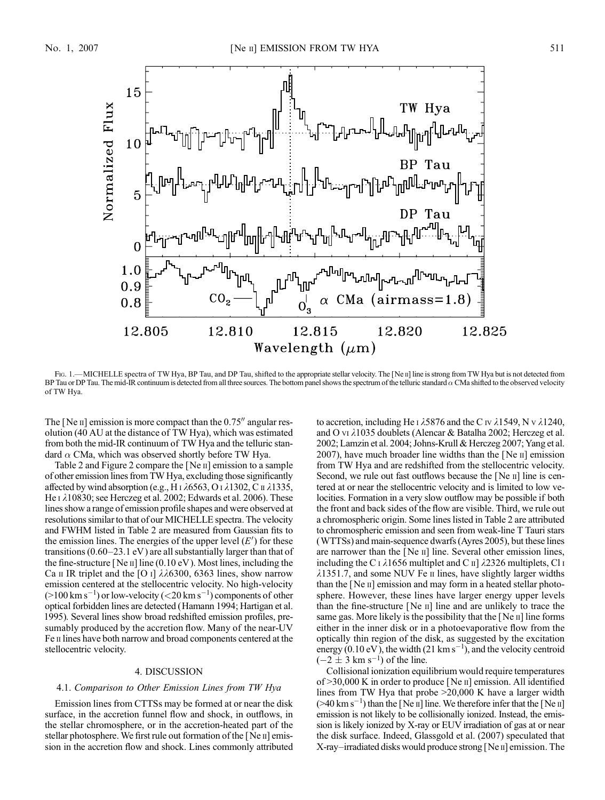

FIG. 1.—MICHELLE spectra of TW Hya, BP Tau, and DP Tau, shifted to the appropriate stellar velocity. The [Ne II] line is strong from TW Hya but is not detected from BP Tau or DP Tau. The mid-IR continuum is detected from all three sources. The bottom panel shows the spectrum of the telluric standard  $\alpha$  CMa shifted to the observed velocity of TW Hya.

The [Ne  $\pi$ ] emission is more compact than the 0.75 $\%$  angular resolution (40 AU at the distance of TW Hya), which was estimated from both the mid-IR continuum of TW Hya and the telluric standard  $\alpha$  CMa, which was observed shortly before TW Hya.

Table 2 and Figure 2 compare the [Ne ii] emission to a sample of other emission lines from TW Hya, excluding those significantly affected by wind absorption (e.g., H  $\overline{1}$   $\lambda$ 6563, O  $\overline{1}$   $\lambda$ 1302, C  $\overline{1}$   $\lambda$ 1335, He  $\iota$   $\lambda$ 10830; see Herczeg et al. 2002; Edwards et al. 2006). These lines show a range of emission profile shapes and were observed at resolutions similar to that of our MICHELLE spectra. The velocity and FWHM listed in Table 2 are measured from Gaussian fits to the emission lines. The energies of the upper level  $(E')$  for these transitions (0.60–23.1 eV ) are all substantially larger than that of the fine-structure [Ne  $\text{II}$ ] line (0.10 eV). Most lines, including the Ca II IR triplet and the [O I]  $\lambda\lambda$ 6300, 6363 lines, show narrow emission centered at the stellocentric velocity. No high-velocity  $(>100 \mathrm{~km~s}^{-1})$  or low-velocity ( $<$  20 km s<sup>-1</sup>) components of other optical forbidden lines are detected (Hamann 1994; Hartigan et al. 1995). Several lines show broad redshifted emission profiles, presumably produced by the accretion flow. Many of the near-UV Fe ii lines have both narrow and broad components centered at the stellocentric velocity.

## 4. DISCUSSION

### 4.1. Comparison to Other Emission Lines from TW Hya

Emission lines from CTTSs may be formed at or near the disk surface, in the accretion funnel flow and shock, in outflows, in the stellar chromosphere, or in the accretion-heated part of the stellar photosphere. We first rule out formation of the [Ne <sup>II]</sup> emission in the accretion flow and shock. Lines commonly attributed to accretion, including He I  $\lambda$ 5876 and the C IV  $\lambda$ 1549, N v  $\lambda$ 1240, and O vi  $\lambda$ 1035 doublets (Alencar & Batalha 2002; Herczeg et al. 2002; Lamzin et al. 2004; Johns-Krull & Herczeg 2007; Yang et al. 2007), have much broader line widths than the  $[Ne \text{ } u]$  emission from TW Hya and are redshifted from the stellocentric velocity. Second, we rule out fast outflows because the [Ne  $\pi$ ] line is centered at or near the stellocentric velocity and is limited to low velocities. Formation in a very slow outflow may be possible if both the front and back sides of the flow are visible. Third, we rule out a chromospheric origin. Some lines listed in Table 2 are attributed to chromospheric emission and seen from weak-line T Tauri stars (WTTSs) and main-sequence dwarfs (Ayres 2005), but these lines are narrower than the [Ne ii] line. Several other emission lines, including the C i  $\lambda$ 1656 multiplet and C ii]  $\lambda$ 2326 multiplets, Cl i  $\lambda$ 1351.7, and some NUV Fe  $\mu$  lines, have slightly larger widths than the [Ne II] emission and may form in a heated stellar photosphere. However, these lines have larger energy upper levels than the fine-structure [Ne ii] line and are unlikely to trace the same gas. More likely is the possibility that the  $[Ne \nI]$  line forms either in the inner disk or in a photoevaporative flow from the optically thin region of the disk, as suggested by the excitation energy (0.10 eV), the width (21 km s<sup>-1</sup>), and the velocity centroid  $(-2 \pm 3 \text{ km s}^{-1})$  of the line.

Collisional ionization equilibrium would require temperatures of  $>$ 30,000 K in order to produce [Ne  $\text{II}$ ] emission. All identified lines from TW Hya that probe >20,000 K have a larger width  $($ >40 km s<sup>-1</sup>) than the [Ne ii] line. We therefore infer that the [Ne ii] emission is not likely to be collisionally ionized. Instead, the emission is likely ionized by X-ray or EUV irradiation of gas at or near the disk surface. Indeed, Glassgold et al. (2007) speculated that X-ray–irradiated disks would produce strong [Ne ii] emission. The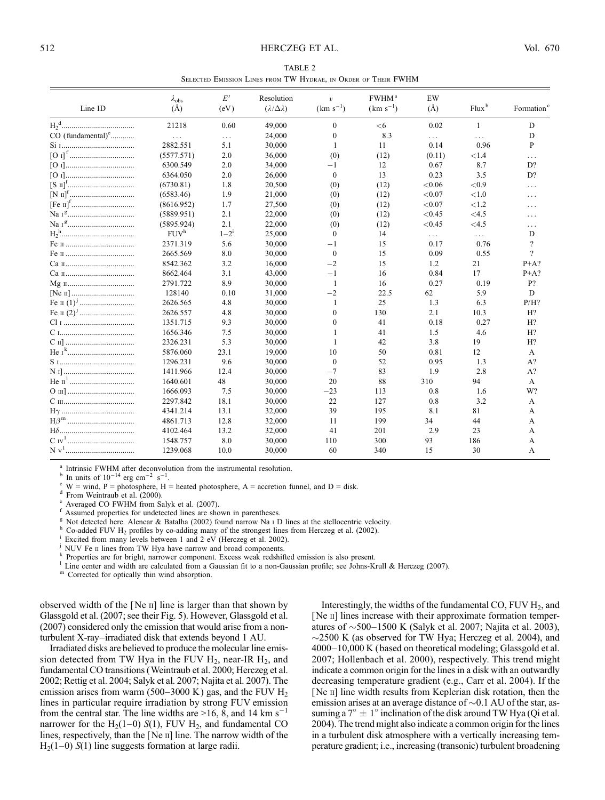| TABLE 2 |  |  |  |  |  |                                                                |  |  |  |  |  |  |
|---------|--|--|--|--|--|----------------------------------------------------------------|--|--|--|--|--|--|
|         |  |  |  |  |  | SELECTED EMISSION LINES FROM TW HYDRAE. IN ORDER OF THEIR FWHM |  |  |  |  |  |  |

|                               | $\lambda_{\rm obs}$ | E'        | Resolution                | $\boldsymbol{v}$ | FWHM <sup>a</sup> | EW        |          |                        |
|-------------------------------|---------------------|-----------|---------------------------|------------------|-------------------|-----------|----------|------------------------|
| Line ID                       | $(\AA)$             | (eV)      | $(\lambda/\Delta\lambda)$ | $(km s^{-1})$    | $(km s^{-1})$     | $(\AA)$   | $Flux^b$ | Formation <sup>c</sup> |
|                               | 21218               | 0.60      | 49,000                    | $\mathbf{0}$     | <6                | 0.02      | 1        | D                      |
| $CO$ (fundamental) $\text{°}$ | $\ldots$            | $\cdots$  | 24,000                    | $\mathbf{0}$     | 8.3               | $\cdots$  | $\cdots$ | D                      |
|                               | 2882.551            | 5.1       | 30,000                    | 1                | 11                | 0.14      | 0.96     | P                      |
|                               | (5577.571)          | 2.0       | 36,000                    | (0)              | (12)              | (0.11)    | ${<}1.4$ | .                      |
|                               | 6300.549            | 2.0       | 34,000                    | $-1$             | 12                | 0.67      | 8.7      | D?                     |
|                               | 6364.050            | 2.0       | 26,000                    | $\mathbf{0}$     | 13                | 0.23      | 3.5      | D?                     |
|                               | (6730.81)           | 1.8       | 20,500                    | (0)              | (12)              | ${<}0.06$ | ${<}0.9$ | $\cdots$               |
|                               | (6583.46)           | 1.9       | 21,000                    | (0)              | (12)              | < 0.07    | ${<}1.0$ | $\cdots$               |
|                               | (8616.952)          | 1.7       | 27,500                    | (0)              | (12)              | ${<}0.07$ | < 1.2    | .                      |
|                               | (5889.951)          | 2.1       | 22,000                    | (0)              | (12)              | < 0.45    | $<$ 4.5  | .                      |
|                               | (5895.924)          | 2.1       | 22,000                    | (0)              | (12)              | < 0.45    | $<$ 4.5  | .                      |
|                               | FUV <sup>h</sup>    | $1 - 2^1$ | 25,000                    | $\mathbf{0}$     | 14                | .         | $\cdots$ | D                      |
|                               | 2371.319            | 5.6       | 30,000                    | -1               | 15                | 0.17      | 0.76     | $\gamma$               |
|                               | 2665.569            | 8.0       | 30,000                    | $\mathbf{0}$     | 15                | 0.09      | 0.55     | $\gamma$               |
|                               | 8542.362            | 3.2       | 16,000                    | $-2$             | 15                | 1.2       | 21       | $P+A?$                 |
|                               | 8662.464            | 3.1       | 43,000                    | $-1$             | 16                | 0.84      | 17       | $P+A?$                 |
|                               | 2791.722            | 8.9       | 30,000                    | $\mathbf{1}$     | 16                | 0.27      | 0.19     | P?                     |
|                               | 128140              | 0.10      | 31,000                    | $-2$             | 22.5              | 62        | 5.9      | D                      |
|                               | 2626.565            | 4.8       | 30,000                    | $\mathbf{1}$     | 25                | 1.3       | 6.3      | P/H?                   |
|                               | 2626.557            | 4.8       | 30,000                    | $\theta$         | 130               | 2.1       | 10.3     | H?                     |
|                               | 1351.715            | 9.3       | 30,000                    | $\theta$         | 41                | 0.18      | 0.27     | H?                     |
|                               | 1656.346            | 7.5       | 30,000                    | 1                | 41                | 1.5       | 4.6      | H?                     |
|                               | 2326.231            | 5.3       | 30,000                    | 1                | 42                | 3.8       | 19       | H?                     |
|                               | 5876.060            | 23.1      | 19,000                    | 10               | 50                | 0.81      | 12       | A                      |
|                               | 1296.231            | 9.6       | 30,000                    | $\Omega$         | 52                | 0.95      | 1.3      | $A$ ?                  |
|                               | 1411.966            | 12.4      | 30,000                    | $-7$             | 83                | 1.9       | 2.8      | A?                     |
|                               | 1640.601            | 48        | 30,000                    | 20               | 88                | 310       | 94       | A                      |
|                               | 1666.093            | 7.5       | 30,000                    | $-23$            | 113               | 0.8       | 1.6      | W?                     |
|                               | 2297.842            | 18.1      | 30,000                    | 22               | 127               | 0.8       | 3.2      | A                      |
|                               | 4341.214            | 13.1      | 32,000                    | 39               | 195               | 8.1       | 81       | A                      |
|                               | 4861.713            | 12.8      | 32,000                    | 11               | 199               | 34        | 44       | A                      |
|                               | 4102.464            | 13.2      | 32,000                    | 41               | 201               | 2.9       | 23       | A                      |
|                               | 1548.757            | 8.0       | 30,000                    | 110              | 300               | 93        | 186      | А                      |
| N v <sup>1</sup>              | 1239.068            | 10.0      | 30,000                    | 60               | 340               | 15        | 30       | A                      |

 $14 \text{ erg cm}^{-2} \text{ s}^{-1}$ 

<sup>a</sup> Intrinsic FWHM after deconvolution from the instrumental resolution.<br><sup>b</sup> In units of 10<sup>-14</sup> erg cm<sup>-2</sup> s<sup>-1</sup>.<br><sup>c</sup> W = wind, P = photosphere, H = heated photosphere, A = accretion funnel, and D = disk.

<sup>d</sup> From Weintraub et al. (2000).<br>
<sup>e</sup> Averaged CO FWHM from Salyk et al. (2007).<br>
<sup>f</sup> Assumed properties for undetected lines are shown in parentheses.<br>
<sup>g</sup> Not detected here. Alencar & Batalha (2002) found narrow Na i D

<sup>1</sup> NUV Fe II lines from TW Hya have narrow and broad components.<br>
<sup>k</sup> Properties are for bright, narrower component. Excess weak redshifted emission is also present.<br>
<sup>1</sup> Line center and width are calculated from a Gauss

<sup>m</sup> Corrected for optically thin wind absorption.

observed width of the  $[Ne \nvert]$  line is larger than that shown by Glassgold et al. (2007; see their Fig. 5). However, Glassgold et al. (2007) considered only the emission that would arise from a nonturbulent X-ray–irradiated disk that extends beyond 1 AU.

Irradiated disks are believed to produce the molecular line emission detected from TW Hya in the FUV  $H_2$ , near-IR  $H_2$ , and fundamental CO transitions (Weintraub et al. 2000; Herczeg et al. 2002; Rettig et al. 2004; Salyk et al. 2007; Najita et al. 2007). The emission arises from warm (500–3000 K) gas, and the FUV  $H_2$ lines in particular require irradiation by strong FUV emission from the central star. The line widths are  $>16$ , 8, and 14 km s<sup>-1</sup> narrower for the  $H_2(1-0)$  S(1), FUV  $H_2$ , and fundamental CO lines, respectively, than the [Ne ii] line. The narrow width of the  $H<sub>2</sub>(1-0) S(1)$  line suggests formation at large radii.

Interestingly, the widths of the fundamental CO, FUV  $H<sub>2</sub>$ , and [Ne II] lines increase with their approximate formation temperatures of  $\sim$ 500–1500 K (Salyk et al. 2007; Najita et al. 2003),  $\sim$ 2500 K (as observed for TW Hya; Herczeg et al. 2004), and 4000–10,000 K (based on theoretical modeling; Glassgold et al. 2007; Hollenbach et al. 2000), respectively. This trend might indicate a common origin for the lines in a disk with an outwardly decreasing temperature gradient (e.g., Carr et al. 2004). If the [Ne ii] line width results from Keplerian disk rotation, then the emission arises at an average distance of  $\sim 0.1$  AU of the star, assuming a  $7^\circ \pm 1^\circ$  inclination of the disk around TW Hya (Qi et al. 2004). The trend might also indicate a common origin for the lines in a turbulent disk atmosphere with a vertically increasing temperature gradient; i.e., increasing (transonic) turbulent broadening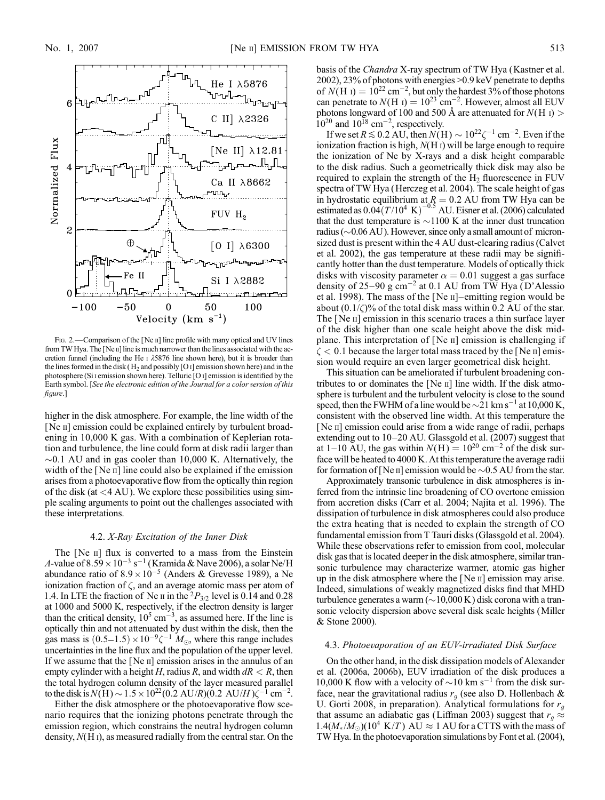

FIG. 2.—Comparison of the [Ne II] line profile with many optical and UV lines from TW Hya. The [Ne  $\scriptstyle\rm II$ ] line is much narrower than the lines associated with the accretion funnel (including the He  $\scriptstyle\rm I$   $\lambda$ 5876 line shown here), but it is broader than the lines formed in the disk ( $H_2$  and possibly [O i] emission shown here) and in the photosphere (Si i emission shown here). Telluric [O i] emission is identified by the Earth symbol. [See the electronic edition of the Journal for a color version of this figure.]

higher in the disk atmosphere. For example, the line width of the [Ne ii] emission could be explained entirely by turbulent broadening in 10,000 K gas. With a combination of Keplerian rotation and turbulence, the line could form at disk radii larger than  $\sim$ 0.1 AU and in gas cooler than 10,000 K. Alternatively, the width of the [Ne II] line could also be explained if the emission arises from a photoevaporative flow from the optically thin region of the disk (at  $\langle 4 \text{ AU} \rangle$ ). We explore these possibilities using simple scaling arguments to point out the challenges associated with these interpretations.

### 4.2. X-Ray Excitation of the Inner Disk

The [Ne II] flux is converted to a mass from the Einstein A-value of  $8.59 \times 10^{-3} \text{ s}^{-1}$  (Kramida & Nave 2006), a solar Ne/H abundance ratio of  $8.9 \times 10^{-5}$  (Anders & Grevesse 1989), a Ne ionization fraction of  $\zeta$ , and an average atomic mass per atom of 1.4. In LTE the fraction of Ne  $\pi$  in the <sup>2</sup> $P_{3/2}$  level is 0.14 and 0.28 at 1000 and 5000 K, respectively, if the electron density is larger than the critical density,  $10^5$  cm<sup>-3</sup>, as assumed here. If the line is optically thin and not attenuated by dust within the disk, then the gas mass is  $(0.5-1.5) \times 10^{-9} \zeta^{-1} M_{\odot}$ , where this range includes uncertainties in the line flux and the population of the upper level. If we assume that the [Ne ii] emission arises in the annulus of an empty cylinder with a height H, radius R, and width  $dR < R$ , then the total hydrogen column density of the layer measured parallel to the disk is  $N(H) \sim 1.5 \times 10^{22} (0.2 \text{ AU}/R) (0.2 \text{ AU}/H) \zeta^{-1} \text{ cm}^{-2}$ .

Either the disk atmosphere or the photoevaporative flow scenario requires that the ionizing photons penetrate through the emission region, which constrains the neutral hydrogen column density, N(H i), as measured radially from the central star. On the basis of the *Chandra* X-ray spectrum of TW Hya (Kastner et al. 2002), 23% of photons with energies >0.9 keV penetrate to depths of  $N(H_1) = 10^{22}$  cm<sup>-2</sup>, but only the hardest 3% of those photons can penetrate to  $N(H I) = 10^{23}$  cm<sup>-2</sup>. However, almost all EUV photons longward of 100 and 500 Å are attenuated for  $N(H I)$  $10^{20}$  and  $10^{18}$  cm<sup>-2</sup>, respectively.

If we set  $R \lesssim 0.2$  AU, then  $N(H) \sim 10^{22} \zeta^{-1}$  cm<sup>-2</sup>. Even if the ionization fraction is high,  $N(H I)$  will be large enough to require the ionization of Ne by X-rays and a disk height comparable to the disk radius. Such a geometrically thick disk may also be required to explain the strength of the  $H<sub>2</sub>$  fluorescence in FUV spectra of TW Hya (Herczeg et al. 2004). The scale height of gas in hydrostatic equilibrium at  $R = 0.2$  AU from TW Hya can be estimated as  $0.04(T/10^4 \text{ K})^{-0.5}$  AU. Eisner et al. (2006) calculated that the dust temperature is  $\sim$ 1100 K at the inner dust truncation radius ( $\sim$ 0.06 AU). However, since only a small amount of micronsized dust is present within the 4 AU dust-clearing radius (Calvet et al. 2002), the gas temperature at these radii may be significantly hotter than the dust temperature. Models of optically thick disks with viscosity parameter  $\alpha = 0.01$  suggest a gas surface density of 25–90  $\rm g$  cm<sup>-2</sup> at 0.1 AU from TW Hya (D'Alessio et al. 1998). The mass of the [Ne ii]–emitting region would be about  $(0.1/\zeta)\%$  of the total disk mass within 0.2 AU of the star. The [Ne II] emission in this scenario traces a thin surface layer of the disk higher than one scale height above the disk midplane. This interpretation of [Ne ii] emission is challenging if  $\zeta$  < 0.1 because the larger total mass traced by the [Ne II] emission would require an even larger geometrical disk height.

This situation can be ameliorated if turbulent broadening contributes to or dominates the  $[Ne \; n]$  line width. If the disk atmosphere is turbulent and the turbulent velocity is close to the sound speed, then the FWHM of a line would be  $\sim$  21 km s<sup>-1</sup> at 10,000 K, consistent with the observed line width. At this temperature the [Ne II] emission could arise from a wide range of radii, perhaps extending out to 10–20 AU. Glassgold et al. (2007) suggest that at 1–10 AU, the gas within  $N(H) = 10^{20}$  cm<sup>-2</sup> of the disk surface will be heated to 4000 K. At this temperature the average radii for formation of [Ne II] emission would be  $\sim$  0.5 AU from the star.

Approximately transonic turbulence in disk atmospheres is inferred from the intrinsic line broadening of CO overtone emission from accretion disks (Carr et al. 2004; Najita et al. 1996). The dissipation of turbulence in disk atmospheres could also produce the extra heating that is needed to explain the strength of CO fundamental emission from T Tauri disks (Glassgold et al. 2004). While these observations refer to emission from cool, molecular disk gas that is located deeper in the disk atmosphere, similar transonic turbulence may characterize warmer, atomic gas higher up in the disk atmosphere where the [Ne ii] emission may arise. Indeed, simulations of weakly magnetized disks find that MHD turbulence generates a warm  $(\sim10,000 \text{ K})$  disk corona with a transonic velocity dispersion above several disk scale heights (Miller & Stone 2000).

## 4.3. Photoevaporation of an EUV-irradiated Disk Surface

On the other hand, in the disk dissipation models of Alexander et al. (2006a, 2006b), EUV irradiation of the disk produces a 10,000 K flow with a velocity of  $\sim$  10 km s<sup>-1</sup> from the disk surface, near the gravitational radius  $r_g$  (see also D. Hollenbach & U. Gorti 2008, in preparation). Analytical formulations for  $r<sub>q</sub>$ that assume an adiabatic gas (Liffman 2003) suggest that  $r_a \approx$  $1.4(M_*/M_{\odot})$ (10<sup>4</sup> K/T) AU  $\approx$  1 AU for a CTTS with the mass of TW Hya. In the photoevaporation simulations by Font et al. (2004),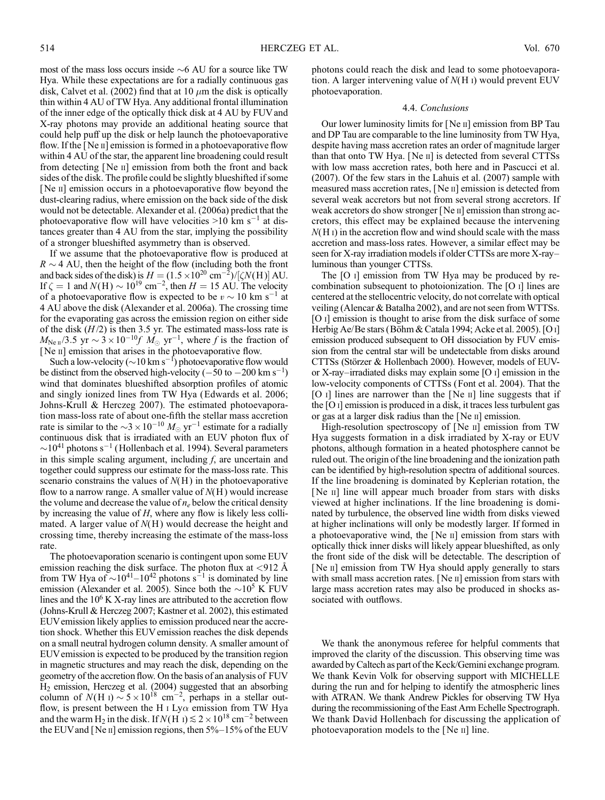most of the mass loss occurs inside  $\sim$  6 AU for a source like TW Hya. While these expectations are for a radially continuous gas disk, Calvet et al. (2002) find that at 10  $\mu$ m the disk is optically thin within 4 AU of TW Hya. Any additional frontal illumination of the inner edge of the optically thick disk at 4 AU by FUV and X-ray photons may provide an additional heating source that could help puff up the disk or help launch the photoevaporative flow. If the [Ne ii] emission is formed in a photoevaporative flow within 4 AU of the star, the apparent line broadening could result from detecting [Ne ii] emission from both the front and back sides of the disk. The profile could be slightly blueshifted if some [Ne ii] emission occurs in a photoevaporative flow beyond the dust-clearing radius, where emission on the back side of the disk would not be detectable. Alexander et al. (2006a) predict that the photoevaporative flow will have velocities  $>10$  km s<sup>-1</sup> at distances greater than 4 AU from the star, implying the possibility of a stronger blueshifted asymmetry than is observed.

If we assume that the photoevaporative flow is produced at  $R \sim 4$  AU, then the height of the flow (including both the front and back sides of the disk) is  $H = (1.5 \times 10^{20} \text{ cm}^{-2})/[\zeta N(\text{H})]$  AU. If  $\zeta = 1$  and  $N(H) \sim 10^{19}$  cm<sup>-2</sup>, then  $H = 15$  AU. The velocity of a photoevaporative flow is expected to be  $v \sim 10$  km s<sup>-1</sup> at 4 AU above the disk (Alexander et al. 2006a). The crossing time for the evaporating gas across the emission region on either side of the disk  $(H/2)$  is then 3.5 yr. The estimated mass-loss rate is  $M_{\text{Ne }\mu}/3.5 \text{ yr} \sim 3 \times 10^{-10} f M_{\odot} \text{ yr}^{-1}$ , where f is the fraction of [Ne II] emission that arises in the photoevaporative flow.

Such a low-velocity ( $\sim$  10 km s<sup>-1</sup>) photoevaporative flow would be distinct from the observed high-velocity  $(-50 \text{ to } -200 \text{ km s}^{-1})$ wind that dominates blueshifted absorption profiles of atomic and singly ionized lines from TW Hya (Edwards et al. 2006; Johns-Krull & Herczeg 2007). The estimated photoevaporation mass-loss rate of about one-fifth the stellar mass accretion rate is similar to the  $\sim$ 3  $\times$  10<sup>-10</sup>  $M_{\odot}$  yr<sup>-1</sup> estimate for a radially continuous disk that is irradiated with an EUV photon flux of  $\sim$ 10<sup>41</sup> photons s<sup>-1</sup> (Hollenbach et al. 1994). Several parameters in this simple scaling argument, including  $f$ , are uncertain and together could suppress our estimate for the mass-loss rate. This scenario constrains the values of  $N(H)$  in the photoevaporative flow to a narrow range. A smaller value of  $N(H)$  would increase the volume and decrease the value of  $n_e$  below the critical density by increasing the value of  $H$ , where any flow is likely less collimated. A larger value of  $N(H)$  would decrease the height and crossing time, thereby increasing the estimate of the mass-loss rate.

The photoevaporation scenario is contingent upon some EUV emission reaching the disk surface. The photon flux at  $\langle 912 \text{ Å}$ from TW Hya of  $\sim 10^{41} - 10^{42}$  photons s<sup>-1</sup> is dominated by line emission (Alexander et al. 2005). Since both the  $\sim 10^5$  K FUV lines and the  $10^6$  K X-ray lines are attributed to the accretion flow (Johns-Krull & Herczeg 2007; Kastner et al. 2002), this estimated EUVemission likely applies to emission produced near the accretion shock. Whether this EUV emission reaches the disk depends on a small neutral hydrogen column density. A smaller amount of EUVemission is expected to be produced by the transition region in magnetic structures and may reach the disk, depending on the geometry of the accretion flow. On the basis of an analysis of FUV H2 emission, Herczeg et al. (2004) suggested that an absorbing column of  $N(H I) \sim 5 \times 10^{18}$  cm<sup>-2</sup>, perhaps in a stellar outflow, is present between the H I Ly $\alpha$  emission from TW Hya and the warm H<sub>2</sub> in the disk. If  $N(H) \le 2 \times 10^{18}$  cm<sup>-2</sup> between the EUV and [Ne  $\scriptstyle\rm II$ ] emission regions, then 5%–15% of the EUV

photons could reach the disk and lead to some photoevaporation. A larger intervening value of  $N(H)$  would prevent EUV photoevaporation.

## 4.4. Conclusions

Our lower luminosity limits for [Ne ii] emission from BP Tau and DP Tau are comparable to the line luminosity from TW Hya, despite having mass accretion rates an order of magnitude larger than that onto TW Hya. [Ne ii] is detected from several CTTSs with low mass accretion rates, both here and in Pascucci et al. (2007). Of the few stars in the Lahuis et al. (2007) sample with measured mass accretion rates, [Ne ii] emission is detected from several weak accretors but not from several strong accretors. If weak accretors do show stronger [Ne II] emission than strong accretors, this effect may be explained because the intervening  $N(H I)$  in the accretion flow and wind should scale with the mass accretion and mass-loss rates. However, a similar effect may be seen for X-ray irradiation models if older CTTSs are more X-ray– luminous than younger CTTSs.

The [O i] emission from TW Hya may be produced by recombination subsequent to photoionization. The [O i] lines are centered at the stellocentric velocity, do not correlate with optical veiling (Alencar & Batalha 2002), and are not seen from WTTSs. [O i] emission is thought to arise from the disk surface of some Herbig Ae/Be stars (Böhm & Catala 1994; Acke et al. 2005). [O I] emission produced subsequent to OH dissociation by FUV emission from the central star will be undetectable from disks around CTTSs (Störzer & Hollenbach 2000). However, models of EUVor X-ray–irradiated disks may explain some [O i] emission in the low-velocity components of CTTSs (Font et al. 2004). That the [O  $\iota$ ] lines are narrower than the [Ne  $\iota$ ] line suggests that if the [O i] emission is produced in a disk, it traces less turbulent gas or gas at a larger disk radius than the [Ne ii] emission.

High-resolution spectroscopy of [Ne II] emission from TW Hya suggests formation in a disk irradiated by X-ray or EUV photons, although formation in a heated photosphere cannot be ruled out. The origin of the line broadening and the ionization path can be identified by high-resolution spectra of additional sources. If the line broadening is dominated by Keplerian rotation, the [Ne II] line will appear much broader from stars with disks viewed at higher inclinations. If the line broadening is dominated by turbulence, the observed line width from disks viewed at higher inclinations will only be modestly larger. If formed in a photoevaporative wind, the [Ne ii] emission from stars with optically thick inner disks will likely appear blueshifted, as only the front side of the disk will be detectable. The description of [Ne II] emission from TW Hya should apply generally to stars with small mass accretion rates. [Ne II] emission from stars with large mass accretion rates may also be produced in shocks associated with outflows.

We thank the anonymous referee for helpful comments that improved the clarity of the discussion. This observing time was awarded by Caltech as part of the Keck/Gemini exchange program. We thank Kevin Volk for observing support with MICHELLE during the run and for helping to identify the atmospheric lines with ATRAN. We thank Andrew Pickles for observing TW Hya during the recommissioning of the East Arm Echelle Spectrograph. We thank David Hollenbach for discussing the application of photoevaporation models to the [Ne ii] line.